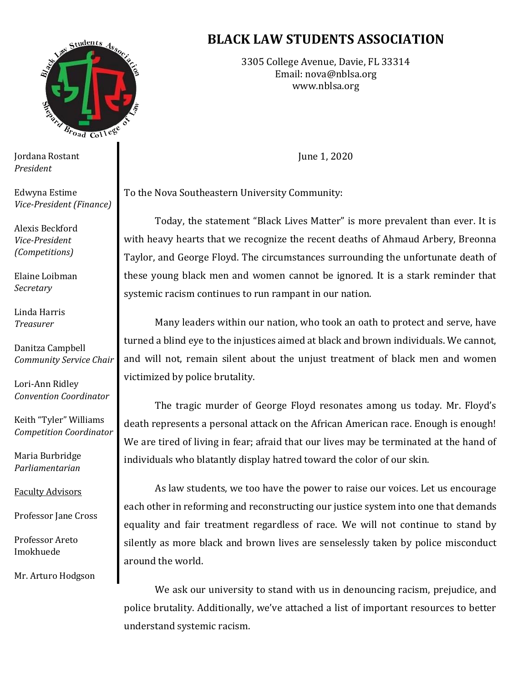

Jordana Rostant *President*

Edwyna Estime *Vice-President (Finance)*

Alexis Beckford *Vice-President (Competitions)*

Elaine Loibman *Secretary*

Linda Harris *Treasurer*

Danitza Campbell *Community Service Chair*

Lori-Ann Ridley *Convention Coordinator* 

Keith "Tyler" Williams *Competition Coordinator*

Maria Burbridge *Parliamentarian*

Faculty Advisors

Professor Jane Cross

Professor Areto Imokhuede

Mr. Arturo Hodgson

## **BLACK LAW STUDENTS ASSOCIATION**

3305 College Avenue, Davie, FL 33314 Email: [nova@nblsa.org](mailto:nova@nblsa.org) [www.nblsa.org](http://www.nblsa.org/)

June 1, 2020

To the Nova Southeastern University Community:

Today, the statement "Black Lives Matter" is more prevalent than ever. It is with heavy hearts that we recognize the recent deaths of Ahmaud Arbery, Breonna Taylor, and George Floyd. The circumstances surrounding the unfortunate death of these young black men and women cannot be ignored. It is a stark reminder that systemic racism continues to run rampant in our nation.

Many leaders within our nation, who took an oath to protect and serve, have turned a blind eye to the injustices aimed at black and brown individuals. We cannot, and will not, remain silent about the unjust treatment of black men and women victimized by police brutality.

The tragic murder of George Floyd resonates among us today. Mr. Floyd's death represents a personal attack on the African American race. Enough is enough! We are tired of living in fear; afraid that our lives may be terminated at the hand of individuals who blatantly display hatred toward the color of our skin.

As law students, we too have the power to raise our voices. Let us encourage each other in reforming and reconstructing our justice system into one that demands equality and fair treatment regardless of race. We will not continue to stand by silently as more black and brown lives are senselessly taken by police misconduct around the world.

We ask our university to stand with us in denouncing racism, prejudice, and police brutality. Additionally, we've attached a list of important resources to better understand systemic racism.